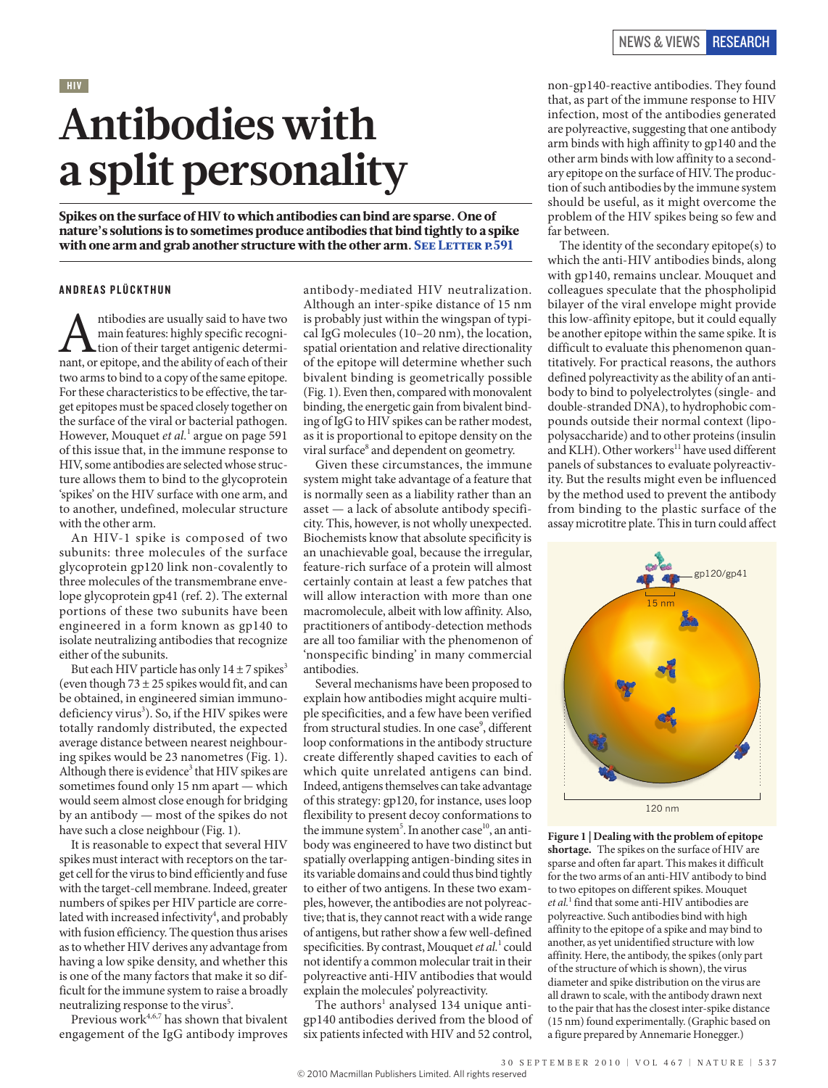## HIV **Antibodies with a split personality**

Spikes on the surface of HIV to which antibodies can bind are sparse. One of nature's solutions is to sometimes produce antibodies that bind tightly to a spike with one arm and grab another structure with the other arm. SEE LETTER P.591

#### **ANDREAS PLÜCKTHUN**

Antibodies are usually said to have two main features: highly specific recogninant, or epitope, and the ability of each of their main features: highly specific recognition of their target antigenic determitwo arms to bind to a copy of the same epitope. For these characteristics to be effective, the target epitopes must be spaced closely together on the surface of the viral or bacterial pathogen. However, Mouquet *et al.*<sup>1</sup> argue on page 591 of this issue that, in the immune response to HIV, some antibodies are selected whose structure allows them to bind to the glycoprotein 'spikes' on the HIV surface with one arm, and to another, undefined, molecular structure with the other arm.

An HIV-1 spike is composed of two subunits: three molecules of the surface glycoprotein gp120 link non-covalently to three molecules of the transmembrane envelope glycoprotein gp41 (ref. 2). The external portions of these two subunits have been engineered in a form known as gp140 to isolate neutralizing antibodies that recognize either of the subunits.

But each HIV particle has only  $14 \pm 7$  spikes<sup>3</sup> (even though  $73 \pm 25$  spikes would fit, and can be obtained, in engineered simian immunodeficiency virus<sup>3</sup>). So, if the HIV spikes were totally randomly distributed, the expected average distance between nearest neighbouring spikes would be 23 nanometres (Fig. 1). Although there is evidence<sup>3</sup> that HIV spikes are sometimes found only 15 nm apart — which would seem almost close enough for bridging by an antibody — most of the spikes do not have such a close neighbour (Fig. 1).

It is reasonable to expect that several HIV spikes must interact with receptors on the target cell for the virus to bind efficiently and fuse with the target-cell membrane. Indeed, greater numbers of spikes per HIV particle are correlated with increased infectivity<sup>4</sup>, and probably with fusion efficiency. The question thus arises as to whether HIV derives any advantage from having a low spike density, and whether this is one of the many factors that make it so difficult for the immune system to raise a broadly neutralizing response to the virus<sup>5</sup>.

Previous work<sup>4,6,7</sup> has shown that bivalent engagement of the IgG antibody improves antibody-mediated HIV neutralization. Although an inter-spike distance of 15 nm is probably just within the wingspan of typical IgG molecules (10–20 nm), the location, spatial orientation and relative directionality of the epitope will determine whether such bivalent binding is geometrically possible (Fig. 1). Even then, compared with monovalent binding, the energetic gain from bivalent binding of IgG to HIV spikes can be rather modest, as it is proportional to epitope density on the viral surface<sup>8</sup> and dependent on geometry.

Given these circumstances, the immune system might take advantage of a feature that is normally seen as a liability rather than an asset — a lack of absolute antibody specificity. This, however, is not wholly unexpected. Biochemists know that absolute specificity is an unachievable goal, because the irregular, feature-rich surface of a protein will almost certainly contain at least a few patches that will allow interaction with more than one macromolecule, albeit with low affinity. Also, practitioners of antibody-detection methods are all too familiar with the phenomenon of 'nonspecific binding' in many commercial antibodies.

Several mechanisms have been proposed to explain how antibodies might acquire multiple specificities, and a few have been verified from structural studies. In one case<sup>9</sup>, different loop conformations in the antibody structure create differently shaped cavities to each of which quite unrelated antigens can bind. Indeed, antigens themselves can take advantage of this strategy: gp120, for instance, uses loop flexibility to present decoy conformations to the immune system<sup>5</sup>. In another case<sup>10</sup>, an antibody was engineered to have two distinct but spatially overlapping antigen-binding sites in its variable domains and could thus bind tightly to either of two antigens. In these two examples, however, the antibodies are not polyreactive; that is, they cannot react with a wide range of antigens, but rather show a few well-defined specificities. By contrast, Mouquet et al.<sup>1</sup> could not identify a common molecular trait in their polyreactive anti-HIV antibodies that would explain the molecules' polyreactivity.

The authors<sup>1</sup> analysed 134 unique antigp140 antibodies derived from the blood of six patients infected with HIV and 52 control,

non-gp140-reactive antibodies. They found that, as part of the immune response to HIV infection, most of the antibodies generated are polyreactive, suggesting that one antibody arm binds with high affinity to gp140 and the other arm binds with low affinity to a secondary epitope on the surface of HIV. The production of such antibodies by the immune system should be useful, as it might overcome the problem of the HIV spikes being so few and far between.

The identity of the secondary epitope(s) to which the anti-HIV antibodies binds, along with gp140, remains unclear. Mouquet and colleagues speculate that the phospholipid bilayer of the viral envelope might provide this low-affinity epitope, but it could equally be another epitope within the same spike. It is difficult to evaluate this phenomenon quantitatively. For practical reasons, the authors defined polyreactivity as the ability of an antibody to bind to polyelectrolytes (single- and double-stranded DNA), to hydrophobic compounds outside their normal context (lipopolysaccharide) and to other proteins (insulin and KLH). Other workers<sup>11</sup> have used different panels of substances to evaluate polyreactivity. But the results might even be influenced by the method used to prevent the antibody from binding to the plastic surface of the assay microtitre plate. This in turn could affect



**Figure 1 | Dealing with the problem of epitope shortage.** The spikes on the surface of HIV are sparse and often far apart. This makes it difficult for the two arms of an anti-HIV antibody to bind to two epitopes on different spikes. Mouquet *et al.*<sup>1</sup> find that some anti-HIV antibodies are polyreactive. Such antibodies bind with high affinity to the epitope of a spike and may bind to another, as yet unidentified structure with low affinity. Here, the antibody, the spikes (only part of the structure of which is shown), the virus diameter and spike distribution on the virus are all drawn to scale, with the antibody drawn next to the pair that has the closest inter-spike distance (15 nm) found experimentally. (Graphic based on a figure prepared by Annemarie Honegger.)